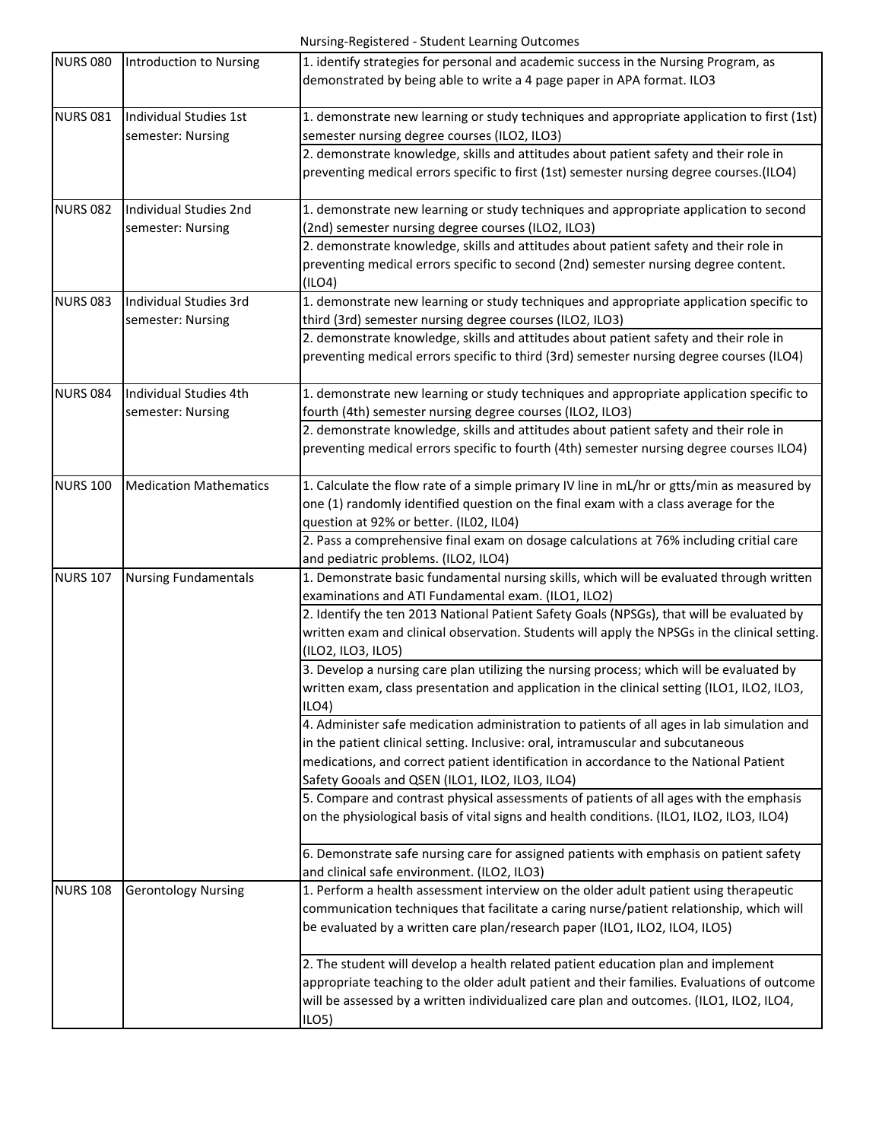| <b>NURS 080</b> | Introduction to Nursing       | 1. identify strategies for personal and academic success in the Nursing Program, as                                 |
|-----------------|-------------------------------|---------------------------------------------------------------------------------------------------------------------|
|                 |                               | demonstrated by being able to write a 4 page paper in APA format. ILO3                                              |
|                 |                               |                                                                                                                     |
| <b>NURS 081</b> | <b>Individual Studies 1st</b> | 1. demonstrate new learning or study techniques and appropriate application to first (1st)                          |
|                 | semester: Nursing             | semester nursing degree courses (ILO2, ILO3)                                                                        |
|                 |                               | 2. demonstrate knowledge, skills and attitudes about patient safety and their role in                               |
|                 |                               | preventing medical errors specific to first (1st) semester nursing degree courses.(ILO4)                            |
|                 |                               |                                                                                                                     |
| <b>NURS 082</b> | Individual Studies 2nd        | 1. demonstrate new learning or study techniques and appropriate application to second                               |
|                 | semester: Nursing             | (2nd) semester nursing degree courses (ILO2, ILO3)                                                                  |
|                 |                               | 2. demonstrate knowledge, skills and attitudes about patient safety and their role in                               |
|                 |                               | preventing medical errors specific to second (2nd) semester nursing degree content.                                 |
|                 |                               | (ILO4)                                                                                                              |
| <b>NURS 083</b> | Individual Studies 3rd        | 1. demonstrate new learning or study techniques and appropriate application specific to                             |
|                 | semester: Nursing             | third (3rd) semester nursing degree courses (ILO2, ILO3)                                                            |
|                 |                               | 2. demonstrate knowledge, skills and attitudes about patient safety and their role in                               |
|                 |                               | preventing medical errors specific to third (3rd) semester nursing degree courses (ILO4)                            |
|                 |                               |                                                                                                                     |
| <b>NURS 084</b> | Individual Studies 4th        | 1. demonstrate new learning or study techniques and appropriate application specific to                             |
|                 | semester: Nursing             | fourth (4th) semester nursing degree courses (ILO2, ILO3)                                                           |
|                 |                               | 2. demonstrate knowledge, skills and attitudes about patient safety and their role in                               |
|                 |                               | preventing medical errors specific to fourth (4th) semester nursing degree courses ILO4)                            |
|                 |                               |                                                                                                                     |
| <b>NURS 100</b> | <b>Medication Mathematics</b> | 1. Calculate the flow rate of a simple primary IV line in mL/hr or gtts/min as measured by                          |
|                 |                               | one (1) randomly identified question on the final exam with a class average for the                                 |
|                 |                               | question at 92% or better. (IL02, IL04)                                                                             |
|                 |                               | 2. Pass a comprehensive final exam on dosage calculations at 76% including critial care                             |
|                 |                               | and pediatric problems. (ILO2, ILO4)                                                                                |
| <b>NURS 107</b> | <b>Nursing Fundamentals</b>   | 1. Demonstrate basic fundamental nursing skills, which will be evaluated through written                            |
|                 |                               | examinations and ATI Fundamental exam. (ILO1, ILO2)                                                                 |
|                 |                               | 2. Identify the ten 2013 National Patient Safety Goals (NPSGs), that will be evaluated by                           |
|                 |                               |                                                                                                                     |
|                 |                               | written exam and clinical observation. Students will apply the NPSGs in the clinical setting.<br>(ILO2, ILO3, ILO5) |
|                 |                               |                                                                                                                     |
|                 |                               | 3. Develop a nursing care plan utilizing the nursing process; which will be evaluated by                            |
|                 |                               | written exam, class presentation and application in the clinical setting (ILO1, ILO2, ILO3,<br>ILO4)                |
|                 |                               |                                                                                                                     |
|                 |                               | 4. Administer safe medication administration to patients of all ages in lab simulation and                          |
|                 |                               | in the patient clinical setting. Inclusive: oral, intramuscular and subcutaneous                                    |
|                 |                               | medications, and correct patient identification in accordance to the National Patient                               |
|                 |                               | Safety Gooals and QSEN (ILO1, ILO2, ILO3, ILO4)                                                                     |
|                 |                               | 5. Compare and contrast physical assessments of patients of all ages with the emphasis                              |
|                 |                               | on the physiological basis of vital signs and health conditions. (ILO1, ILO2, ILO3, ILO4)                           |
|                 |                               |                                                                                                                     |
|                 |                               | 6. Demonstrate safe nursing care for assigned patients with emphasis on patient safety                              |
|                 |                               | and clinical safe environment. (ILO2, ILO3)                                                                         |
| <b>NURS 108</b> | <b>Gerontology Nursing</b>    | 1. Perform a health assessment interview on the older adult patient using therapeutic                               |
|                 |                               | communication techniques that facilitate a caring nurse/patient relationship, which will                            |
|                 |                               | be evaluated by a written care plan/research paper (ILO1, ILO2, ILO4, ILO5)                                         |
|                 |                               |                                                                                                                     |
|                 |                               | 2. The student will develop a health related patient education plan and implement                                   |
|                 |                               | appropriate teaching to the older adult patient and their families. Evaluations of outcome                          |
|                 |                               | will be assessed by a written individualized care plan and outcomes. (ILO1, ILO2, ILO4,                             |
|                 |                               | ILO <sub>5</sub>                                                                                                    |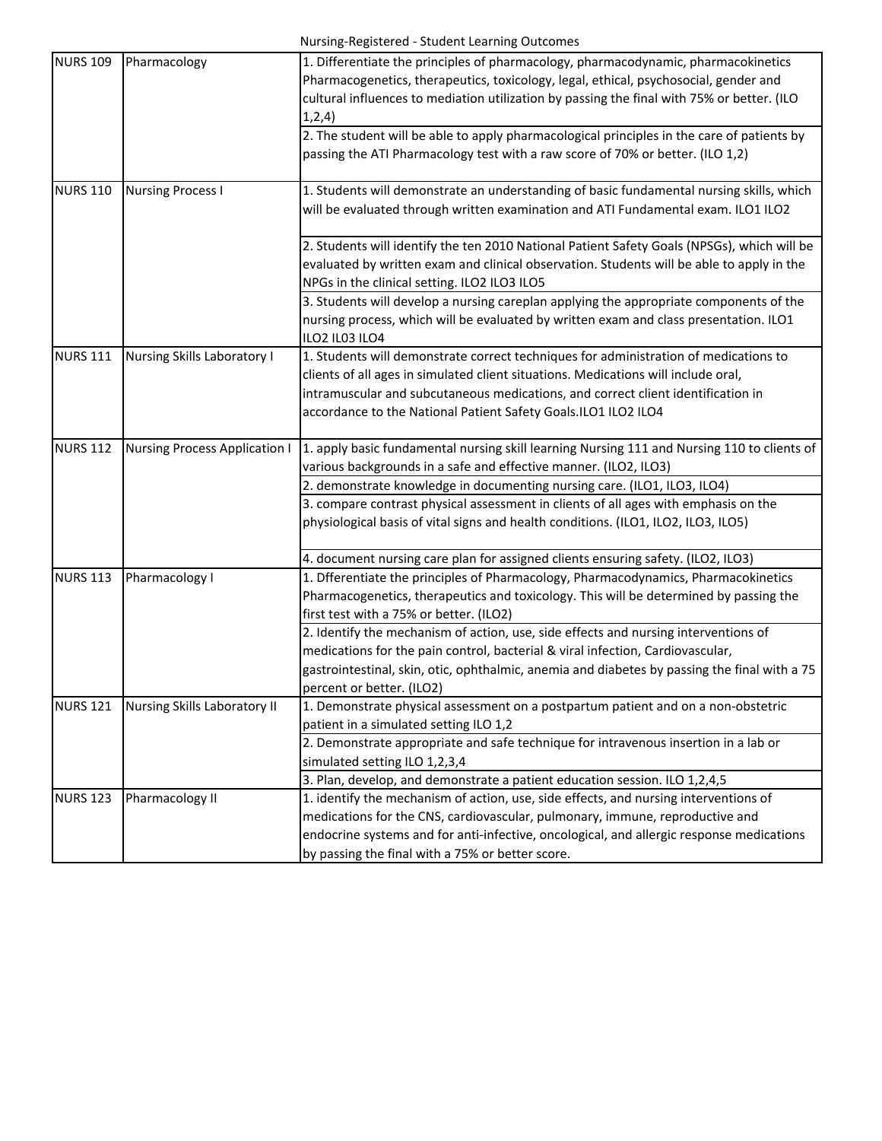| Pharmacology                         | 1. Differentiate the principles of pharmacology, pharmacodynamic, pharmacokinetics<br>Pharmacogenetics, therapeutics, toxicology, legal, ethical, psychosocial, gender and |
|--------------------------------------|----------------------------------------------------------------------------------------------------------------------------------------------------------------------------|
|                                      | cultural influences to mediation utilization by passing the final with 75% or better. (ILO<br>1,2,4)                                                                       |
|                                      | 2. The student will be able to apply pharmacological principles in the care of patients by                                                                                 |
|                                      | passing the ATI Pharmacology test with a raw score of 70% or better. (ILO 1,2)                                                                                             |
| <b>Nursing Process I</b>             | 1. Students will demonstrate an understanding of basic fundamental nursing skills, which                                                                                   |
|                                      | will be evaluated through written examination and ATI Fundamental exam. ILO1 ILO2                                                                                          |
|                                      | 2. Students will identify the ten 2010 National Patient Safety Goals (NPSGs), which will be                                                                                |
|                                      | evaluated by written exam and clinical observation. Students will be able to apply in the<br>NPGs in the clinical setting. ILO2 ILO3 ILO5                                  |
|                                      | 3. Students will develop a nursing careplan applying the appropriate components of the                                                                                     |
|                                      | nursing process, which will be evaluated by written exam and class presentation. ILO1<br>ILO2 IL03 ILO4                                                                    |
| <b>Nursing Skills Laboratory I</b>   | 1. Students will demonstrate correct techniques for administration of medications to                                                                                       |
|                                      | clients of all ages in simulated client situations. Medications will include oral,                                                                                         |
|                                      | intramuscular and subcutaneous medications, and correct client identification in                                                                                           |
|                                      | accordance to the National Patient Safety Goals.ILO1 ILO2 ILO4                                                                                                             |
| <b>Nursing Process Application I</b> | 1. apply basic fundamental nursing skill learning Nursing 111 and Nursing 110 to clients of                                                                                |
|                                      | various backgrounds in a safe and effective manner. (ILO2, ILO3)                                                                                                           |
|                                      | 2. demonstrate knowledge in documenting nursing care. (ILO1, ILO3, ILO4)                                                                                                   |
|                                      | 3. compare contrast physical assessment in clients of all ages with emphasis on the                                                                                        |
|                                      | physiological basis of vital signs and health conditions. (ILO1, ILO2, ILO3, ILO5)                                                                                         |
|                                      | 4. document nursing care plan for assigned clients ensuring safety. (ILO2, ILO3)                                                                                           |
|                                      | 1. Dfferentiate the principles of Pharmacology, Pharmacodynamics, Pharmacokinetics                                                                                         |
|                                      | Pharmacogenetics, therapeutics and toxicology. This will be determined by passing the                                                                                      |
|                                      | first test with a 75% or better. (ILO2)                                                                                                                                    |
|                                      | 2. Identify the mechanism of action, use, side effects and nursing interventions of                                                                                        |
|                                      | medications for the pain control, bacterial & viral infection, Cardiovascular,                                                                                             |
|                                      | gastrointestinal, skin, otic, ophthalmic, anemia and diabetes by passing the final with a 75                                                                               |
|                                      | percent or better. (ILO2)                                                                                                                                                  |
|                                      | 1. Demonstrate physical assessment on a postpartum patient and on a non-obstetric                                                                                          |
|                                      | patient in a simulated setting ILO 1,2                                                                                                                                     |
|                                      | 2. Demonstrate appropriate and safe technique for intravenous insertion in a lab or<br>simulated setting ILO 1,2,3,4                                                       |
|                                      | 3. Plan, develop, and demonstrate a patient education session. ILO 1,2,4,5                                                                                                 |
|                                      | 1. identify the mechanism of action, use, side effects, and nursing interventions of                                                                                       |
|                                      | medications for the CNS, cardiovascular, pulmonary, immune, reproductive and                                                                                               |
|                                      | endocrine systems and for anti-infective, oncological, and allergic response medications                                                                                   |
|                                      | by passing the final with a 75% or better score.                                                                                                                           |
|                                      | Pharmacology I<br><b>Nursing Skills Laboratory II</b><br>Pharmacology II                                                                                                   |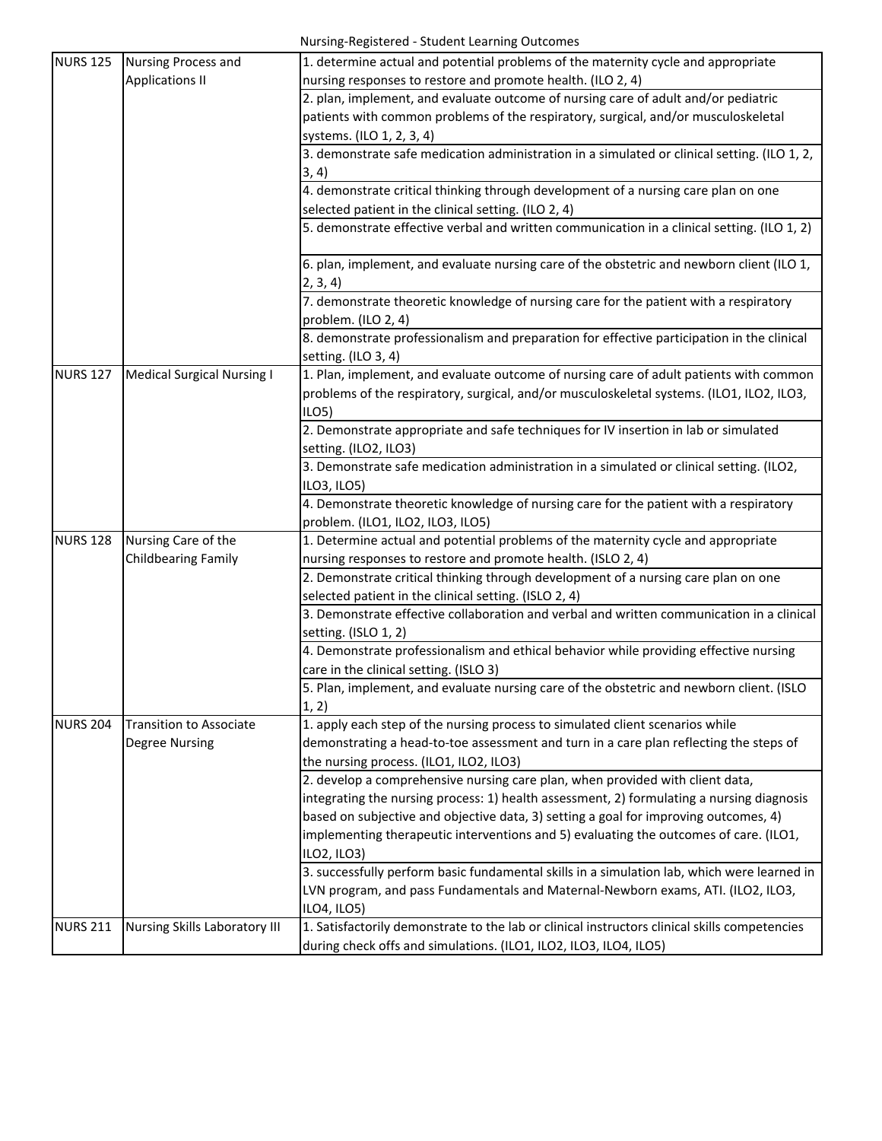| <b>NURS 125</b> | <b>Nursing Process and</b>        | 1. determine actual and potential problems of the maternity cycle and appropriate             |
|-----------------|-----------------------------------|-----------------------------------------------------------------------------------------------|
|                 | <b>Applications II</b>            | nursing responses to restore and promote health. (ILO 2, 4)                                   |
|                 |                                   | 2. plan, implement, and evaluate outcome of nursing care of adult and/or pediatric            |
|                 |                                   | patients with common problems of the respiratory, surgical, and/or musculoskeletal            |
|                 |                                   | systems. (ILO 1, 2, 3, 4)                                                                     |
|                 |                                   | 3. demonstrate safe medication administration in a simulated or clinical setting. (ILO 1, 2,  |
|                 |                                   | 3, 4)                                                                                         |
|                 |                                   | 4. demonstrate critical thinking through development of a nursing care plan on one            |
|                 |                                   | selected patient in the clinical setting. (ILO 2, 4)                                          |
|                 |                                   | 5. demonstrate effective verbal and written communication in a clinical setting. (ILO 1, 2)   |
|                 |                                   | 6. plan, implement, and evaluate nursing care of the obstetric and newborn client (ILO 1,     |
|                 |                                   | 2, 3, 4)                                                                                      |
|                 |                                   | 7. demonstrate theoretic knowledge of nursing care for the patient with a respiratory         |
|                 |                                   | problem. (ILO 2, 4)                                                                           |
|                 |                                   | 8. demonstrate professionalism and preparation for effective participation in the clinical    |
|                 |                                   | setting. (ILO 3, 4)                                                                           |
| <b>NURS 127</b> | <b>Medical Surgical Nursing I</b> | 1. Plan, implement, and evaluate outcome of nursing care of adult patients with common        |
|                 |                                   | problems of the respiratory, surgical, and/or musculoskeletal systems. (ILO1, ILO2, ILO3,     |
|                 |                                   | ILO <sub>5</sub>                                                                              |
|                 |                                   | 2. Demonstrate appropriate and safe techniques for IV insertion in lab or simulated           |
|                 |                                   | setting. (ILO2, ILO3)                                                                         |
|                 |                                   | 3. Demonstrate safe medication administration in a simulated or clinical setting. (ILO2,      |
|                 |                                   | ILO3, ILO5)                                                                                   |
|                 |                                   | 4. Demonstrate theoretic knowledge of nursing care for the patient with a respiratory         |
|                 |                                   | problem. (ILO1, ILO2, ILO3, ILO5)                                                             |
| <b>NURS 128</b> | Nursing Care of the               | 1. Determine actual and potential problems of the maternity cycle and appropriate             |
|                 | <b>Childbearing Family</b>        | nursing responses to restore and promote health. (ISLO 2, 4)                                  |
|                 |                                   | 2. Demonstrate critical thinking through development of a nursing care plan on one            |
|                 |                                   | selected patient in the clinical setting. (ISLO 2, 4)                                         |
|                 |                                   | 3. Demonstrate effective collaboration and verbal and written communication in a clinical     |
|                 |                                   | setting. (ISLO 1, 2)                                                                          |
|                 |                                   | 4. Demonstrate professionalism and ethical behavior while providing effective nursing         |
|                 |                                   | care in the clinical setting. (ISLO 3)                                                        |
|                 |                                   | 5. Plan, implement, and evaluate nursing care of the obstetric and newborn client. (ISLO      |
|                 |                                   | 1, 2)                                                                                         |
| <b>NURS 204</b> | <b>Transition to Associate</b>    | 1. apply each step of the nursing process to simulated client scenarios while                 |
|                 | <b>Degree Nursing</b>             | demonstrating a head-to-toe assessment and turn in a care plan reflecting the steps of        |
|                 |                                   | the nursing process. (ILO1, ILO2, ILO3)                                                       |
|                 |                                   | 2. develop a comprehensive nursing care plan, when provided with client data,                 |
|                 |                                   | integrating the nursing process: 1) health assessment, 2) formulating a nursing diagnosis     |
|                 |                                   | based on subjective and objective data, 3) setting a goal for improving outcomes, 4)          |
|                 |                                   | implementing therapeutic interventions and 5) evaluating the outcomes of care. (ILO1,         |
|                 |                                   | ILO2, ILO3)                                                                                   |
|                 |                                   | 3. successfully perform basic fundamental skills in a simulation lab, which were learned in   |
|                 |                                   | LVN program, and pass Fundamentals and Maternal-Newborn exams, ATI. (ILO2, ILO3,              |
|                 |                                   | ILO4, ILO5)                                                                                   |
| <b>NURS 211</b> | Nursing Skills Laboratory III     | 1. Satisfactorily demonstrate to the lab or clinical instructors clinical skills competencies |
|                 |                                   | during check offs and simulations. (ILO1, ILO2, ILO3, ILO4, ILO5)                             |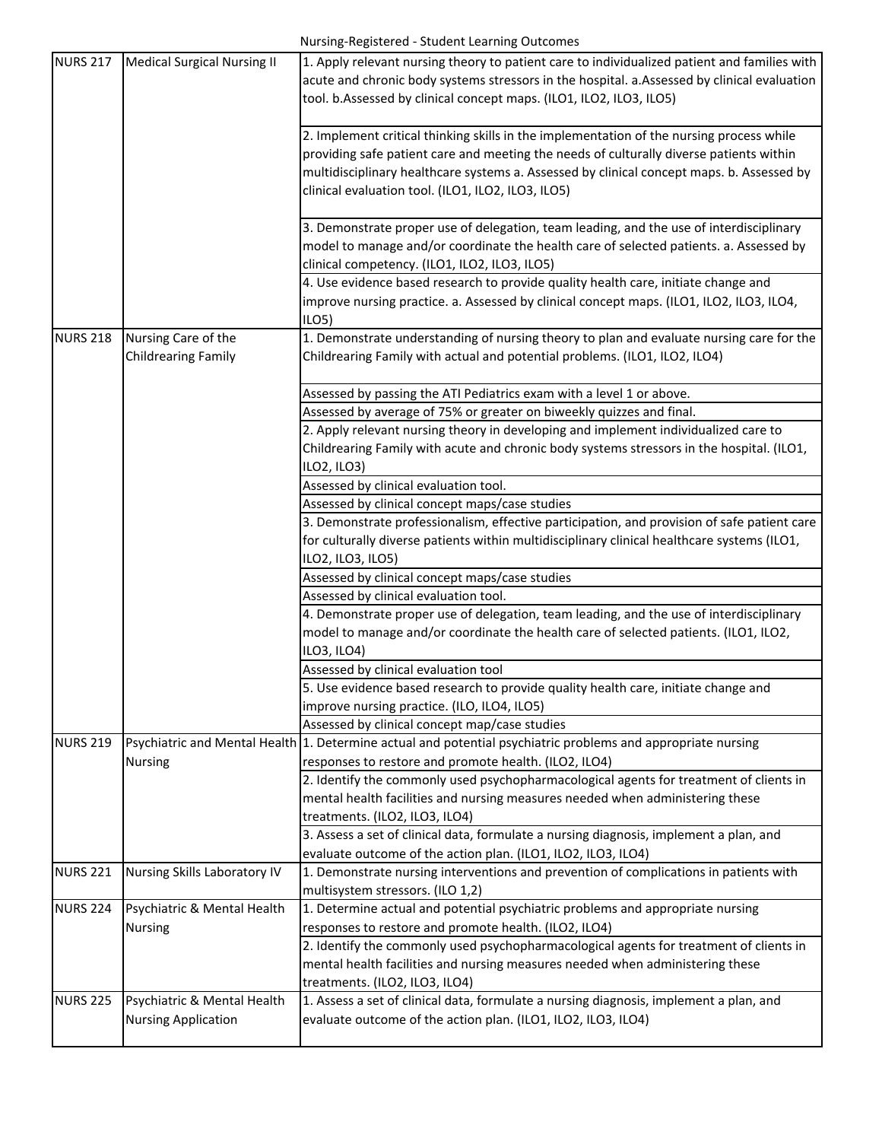| <b>NURS 217</b> | Medical Surgical Nursing II         | 1. Apply relevant nursing theory to patient care to individualized patient and families with                              |
|-----------------|-------------------------------------|---------------------------------------------------------------------------------------------------------------------------|
|                 |                                     | acute and chronic body systems stressors in the hospital. a.Assessed by clinical evaluation                               |
|                 |                                     | tool. b.Assessed by clinical concept maps. (ILO1, ILO2, ILO3, ILO5)                                                       |
|                 |                                     |                                                                                                                           |
|                 |                                     | 2. Implement critical thinking skills in the implementation of the nursing process while                                  |
|                 |                                     | providing safe patient care and meeting the needs of culturally diverse patients within                                   |
|                 |                                     | multidisciplinary healthcare systems a. Assessed by clinical concept maps. b. Assessed by                                 |
|                 |                                     | clinical evaluation tool. (ILO1, ILO2, ILO3, ILO5)                                                                        |
|                 |                                     | 3. Demonstrate proper use of delegation, team leading, and the use of interdisciplinary                                   |
|                 |                                     | model to manage and/or coordinate the health care of selected patients. a. Assessed by                                    |
|                 |                                     | clinical competency. (ILO1, ILO2, ILO3, ILO5)                                                                             |
|                 |                                     | 4. Use evidence based research to provide quality health care, initiate change and                                        |
|                 |                                     | improve nursing practice. a. Assessed by clinical concept maps. (ILO1, ILO2, ILO3, ILO4,                                  |
|                 |                                     | ILO5)                                                                                                                     |
| <b>NURS 218</b> | Nursing Care of the                 | 1. Demonstrate understanding of nursing theory to plan and evaluate nursing care for the                                  |
|                 | <b>Childrearing Family</b>          | Childrearing Family with actual and potential problems. (ILO1, ILO2, ILO4)                                                |
|                 |                                     |                                                                                                                           |
|                 |                                     | Assessed by passing the ATI Pediatrics exam with a level 1 or above.                                                      |
|                 |                                     | Assessed by average of 75% or greater on biweekly quizzes and final.                                                      |
|                 |                                     | 2. Apply relevant nursing theory in developing and implement individualized care to                                       |
|                 |                                     | Childrearing Family with acute and chronic body systems stressors in the hospital. (ILO1,                                 |
|                 |                                     | ILO2, ILO3)                                                                                                               |
|                 |                                     | Assessed by clinical evaluation tool.                                                                                     |
|                 |                                     | Assessed by clinical concept maps/case studies                                                                            |
|                 |                                     | 3. Demonstrate professionalism, effective participation, and provision of safe patient care                               |
|                 |                                     | for culturally diverse patients within multidisciplinary clinical healthcare systems (ILO1,                               |
|                 |                                     | ILO2, ILO3, ILO5)                                                                                                         |
|                 |                                     | Assessed by clinical concept maps/case studies                                                                            |
|                 |                                     | Assessed by clinical evaluation tool.                                                                                     |
|                 |                                     | 4. Demonstrate proper use of delegation, team leading, and the use of interdisciplinary                                   |
|                 |                                     | model to manage and/or coordinate the health care of selected patients. (ILO1, ILO2,                                      |
|                 |                                     | ILO3, ILO4)                                                                                                               |
|                 |                                     | Assessed by clinical evaluation tool                                                                                      |
|                 |                                     | 5. Use evidence based research to provide quality health care, initiate change and                                        |
|                 |                                     | improve nursing practice. (ILO, ILO4, ILO5)                                                                               |
|                 |                                     | Assessed by clinical concept map/case studies                                                                             |
| <b>NURS 219</b> |                                     | Psychiatric and Mental Health 1. Determine actual and potential psychiatric problems and appropriate nursing              |
|                 | <b>Nursing</b>                      | responses to restore and promote health. (ILO2, ILO4)                                                                     |
|                 |                                     | 2. Identify the commonly used psychopharmacological agents for treatment of clients in                                    |
|                 |                                     | mental health facilities and nursing measures needed when administering these                                             |
|                 |                                     | treatments. (ILO2, ILO3, ILO4)                                                                                            |
|                 |                                     | 3. Assess a set of clinical data, formulate a nursing diagnosis, implement a plan, and                                    |
|                 |                                     | evaluate outcome of the action plan. (ILO1, ILO2, ILO3, ILO4)                                                             |
| <b>NURS 221</b> | <b>Nursing Skills Laboratory IV</b> | 1. Demonstrate nursing interventions and prevention of complications in patients with<br>multisystem stressors. (ILO 1,2) |
| <b>NURS 224</b> | Psychiatric & Mental Health         | 1. Determine actual and potential psychiatric problems and appropriate nursing                                            |
|                 | Nursing                             | responses to restore and promote health. (ILO2, ILO4)                                                                     |
|                 |                                     | 2. Identify the commonly used psychopharmacological agents for treatment of clients in                                    |
|                 |                                     | mental health facilities and nursing measures needed when administering these                                             |
|                 |                                     | treatments. (ILO2, ILO3, ILO4)                                                                                            |
| <b>NURS 225</b> | Psychiatric & Mental Health         | 1. Assess a set of clinical data, formulate a nursing diagnosis, implement a plan, and                                    |
|                 | <b>Nursing Application</b>          | evaluate outcome of the action plan. (ILO1, ILO2, ILO3, ILO4)                                                             |
|                 |                                     |                                                                                                                           |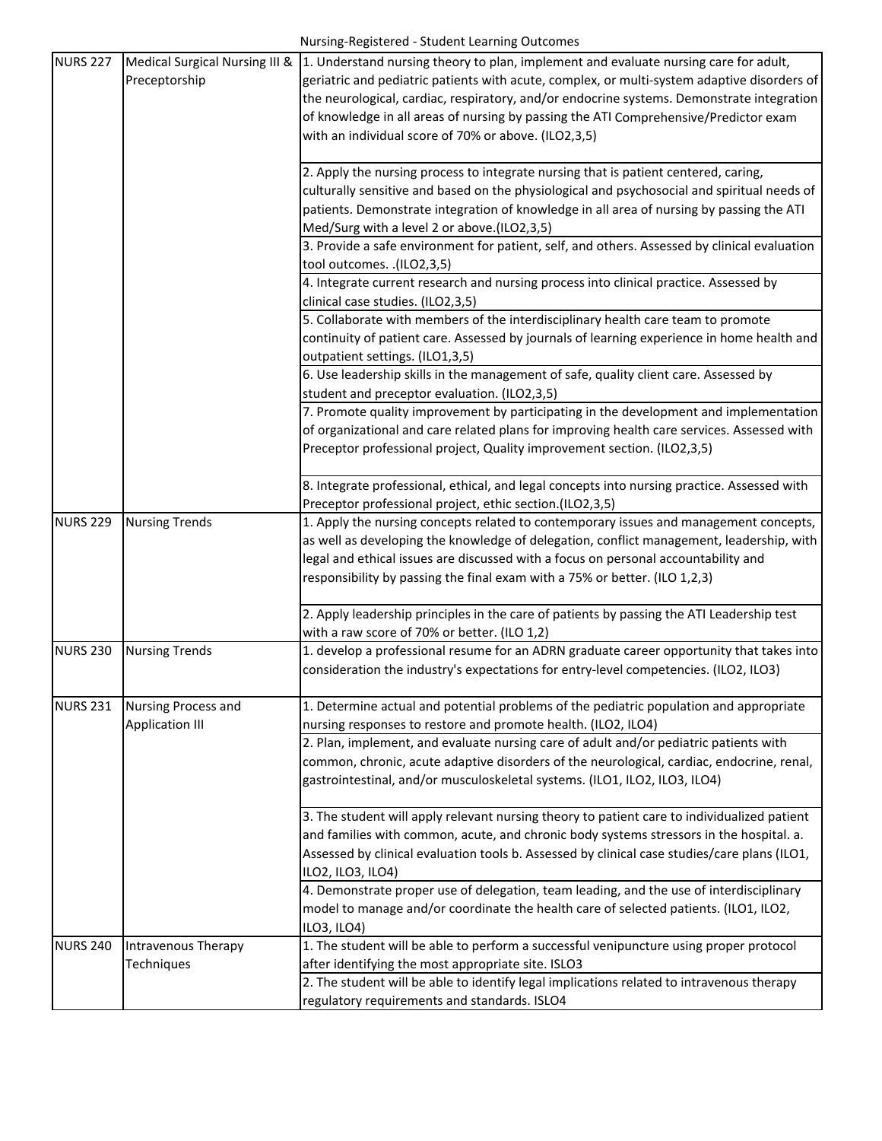| Preceptorship<br>geriatric and pediatric patients with acute, complex, or multi-system adaptive disorders of<br>the neurological, cardiac, respiratory, and/or endocrine systems. Demonstrate integration<br>of knowledge in all areas of nursing by passing the ATI Comprehensive/Predictor exam<br>with an individual score of 70% or above. (ILO2,3,5)<br>2. Apply the nursing process to integrate nursing that is patient centered, caring,<br>culturally sensitive and based on the physiological and psychosocial and spiritual needs of<br>patients. Demonstrate integration of knowledge in all area of nursing by passing the ATI<br>Med/Surg with a level 2 or above.(ILO2,3,5)<br>3. Provide a safe environment for patient, self, and others. Assessed by clinical evaluation<br>tool outcomes. .(ILO2,3,5)<br>4. Integrate current research and nursing process into clinical practice. Assessed by<br>clinical case studies. (ILO2,3,5)<br>5. Collaborate with members of the interdisciplinary health care team to promote<br>continuity of patient care. Assessed by journals of learning experience in home health and<br>outpatient settings. (ILO1,3,5)<br>6. Use leadership skills in the management of safe, quality client care. Assessed by<br>student and preceptor evaluation. (ILO2,3,5)<br>7. Promote quality improvement by participating in the development and implementation<br>of organizational and care related plans for improving health care services. Assessed with<br>Preceptor professional project, Quality improvement section. (ILO2,3,5)<br>8. Integrate professional, ethical, and legal concepts into nursing practice. Assessed with<br>Preceptor professional project, ethic section.(ILO2,3,5)<br><b>NURS 229</b><br><b>Nursing Trends</b><br>1. Apply the nursing concepts related to contemporary issues and management concepts,<br>as well as developing the knowledge of delegation, conflict management, leadership, with<br>legal and ethical issues are discussed with a focus on personal accountability and<br>responsibility by passing the final exam with a 75% or better. (ILO 1,2,3)<br>2. Apply leadership principles in the care of patients by passing the ATI Leadership test<br>with a raw score of 70% or better. (ILO 1,2)<br>1. develop a professional resume for an ADRN graduate career opportunity that takes into<br><b>NURS 230</b><br><b>Nursing Trends</b><br>consideration the industry's expectations for entry-level competencies. (ILO2, ILO3)<br><b>NURS 231</b><br>Nursing Process and<br>1. Determine actual and potential problems of the pediatric population and appropriate<br><b>Application III</b><br>nursing responses to restore and promote health. (ILO2, ILO4)<br>2. Plan, implement, and evaluate nursing care of adult and/or pediatric patients with<br>common, chronic, acute adaptive disorders of the neurological, cardiac, endocrine, renal,<br>gastrointestinal, and/or musculoskeletal systems. (ILO1, ILO2, ILO3, ILO4)<br>3. The student will apply relevant nursing theory to patient care to individualized patient<br>and families with common, acute, and chronic body systems stressors in the hospital. a.<br>Assessed by clinical evaluation tools b. Assessed by clinical case studies/care plans (ILO1,<br>ILO2, ILO3, ILO4)<br>4. Demonstrate proper use of delegation, team leading, and the use of interdisciplinary<br>model to manage and/or coordinate the health care of selected patients. (ILO1, ILO2,<br>ILO3, ILO4)<br>1. The student will be able to perform a successful venipuncture using proper protocol<br><b>NURS 240</b><br>Intravenous Therapy<br>Techniques<br>after identifying the most appropriate site. ISLO3<br>2. The student will be able to identify legal implications related to intravenous therapy<br>regulatory requirements and standards. ISLO4 | <b>NURS 227</b> | Medical Surgical Nursing III & 1. Understand nursing theory to plan, implement and evaluate nursing care for adult, |
|-------------------------------------------------------------------------------------------------------------------------------------------------------------------------------------------------------------------------------------------------------------------------------------------------------------------------------------------------------------------------------------------------------------------------------------------------------------------------------------------------------------------------------------------------------------------------------------------------------------------------------------------------------------------------------------------------------------------------------------------------------------------------------------------------------------------------------------------------------------------------------------------------------------------------------------------------------------------------------------------------------------------------------------------------------------------------------------------------------------------------------------------------------------------------------------------------------------------------------------------------------------------------------------------------------------------------------------------------------------------------------------------------------------------------------------------------------------------------------------------------------------------------------------------------------------------------------------------------------------------------------------------------------------------------------------------------------------------------------------------------------------------------------------------------------------------------------------------------------------------------------------------------------------------------------------------------------------------------------------------------------------------------------------------------------------------------------------------------------------------------------------------------------------------------------------------------------------------------------------------------------------------------------------------------------------------------------------------------------------------------------------------------------------------------------------------------------------------------------------------------------------------------------------------------------------------------------------------------------------------------------------------------------------------------------------------------------------------------------------------------------------------------------------------------------------------------------------------------------------------------------------------------------------------------------------------------------------------------------------------------------------------------------------------------------------------------------------------------------------------------------------------------------------------------------------------------------------------------------------------------------------------------------------------------------------------------------------------------------------------------------------------------------------------------------------------------------------------------------------------------------------------------------------------------------------------------------------------------------------------------------------------------------------------------------------------------------------------------------------------------------------------------------------------------------------------------------------------------------------------------------------------------------------|-----------------|---------------------------------------------------------------------------------------------------------------------|
|                                                                                                                                                                                                                                                                                                                                                                                                                                                                                                                                                                                                                                                                                                                                                                                                                                                                                                                                                                                                                                                                                                                                                                                                                                                                                                                                                                                                                                                                                                                                                                                                                                                                                                                                                                                                                                                                                                                                                                                                                                                                                                                                                                                                                                                                                                                                                                                                                                                                                                                                                                                                                                                                                                                                                                                                                                                                                                                                                                                                                                                                                                                                                                                                                                                                                                                                                                                                                                                                                                                                                                                                                                                                                                                                                                                                                                                                                                             |                 |                                                                                                                     |
|                                                                                                                                                                                                                                                                                                                                                                                                                                                                                                                                                                                                                                                                                                                                                                                                                                                                                                                                                                                                                                                                                                                                                                                                                                                                                                                                                                                                                                                                                                                                                                                                                                                                                                                                                                                                                                                                                                                                                                                                                                                                                                                                                                                                                                                                                                                                                                                                                                                                                                                                                                                                                                                                                                                                                                                                                                                                                                                                                                                                                                                                                                                                                                                                                                                                                                                                                                                                                                                                                                                                                                                                                                                                                                                                                                                                                                                                                                             |                 |                                                                                                                     |
|                                                                                                                                                                                                                                                                                                                                                                                                                                                                                                                                                                                                                                                                                                                                                                                                                                                                                                                                                                                                                                                                                                                                                                                                                                                                                                                                                                                                                                                                                                                                                                                                                                                                                                                                                                                                                                                                                                                                                                                                                                                                                                                                                                                                                                                                                                                                                                                                                                                                                                                                                                                                                                                                                                                                                                                                                                                                                                                                                                                                                                                                                                                                                                                                                                                                                                                                                                                                                                                                                                                                                                                                                                                                                                                                                                                                                                                                                                             |                 |                                                                                                                     |
|                                                                                                                                                                                                                                                                                                                                                                                                                                                                                                                                                                                                                                                                                                                                                                                                                                                                                                                                                                                                                                                                                                                                                                                                                                                                                                                                                                                                                                                                                                                                                                                                                                                                                                                                                                                                                                                                                                                                                                                                                                                                                                                                                                                                                                                                                                                                                                                                                                                                                                                                                                                                                                                                                                                                                                                                                                                                                                                                                                                                                                                                                                                                                                                                                                                                                                                                                                                                                                                                                                                                                                                                                                                                                                                                                                                                                                                                                                             |                 |                                                                                                                     |
|                                                                                                                                                                                                                                                                                                                                                                                                                                                                                                                                                                                                                                                                                                                                                                                                                                                                                                                                                                                                                                                                                                                                                                                                                                                                                                                                                                                                                                                                                                                                                                                                                                                                                                                                                                                                                                                                                                                                                                                                                                                                                                                                                                                                                                                                                                                                                                                                                                                                                                                                                                                                                                                                                                                                                                                                                                                                                                                                                                                                                                                                                                                                                                                                                                                                                                                                                                                                                                                                                                                                                                                                                                                                                                                                                                                                                                                                                                             |                 |                                                                                                                     |
|                                                                                                                                                                                                                                                                                                                                                                                                                                                                                                                                                                                                                                                                                                                                                                                                                                                                                                                                                                                                                                                                                                                                                                                                                                                                                                                                                                                                                                                                                                                                                                                                                                                                                                                                                                                                                                                                                                                                                                                                                                                                                                                                                                                                                                                                                                                                                                                                                                                                                                                                                                                                                                                                                                                                                                                                                                                                                                                                                                                                                                                                                                                                                                                                                                                                                                                                                                                                                                                                                                                                                                                                                                                                                                                                                                                                                                                                                                             |                 |                                                                                                                     |
|                                                                                                                                                                                                                                                                                                                                                                                                                                                                                                                                                                                                                                                                                                                                                                                                                                                                                                                                                                                                                                                                                                                                                                                                                                                                                                                                                                                                                                                                                                                                                                                                                                                                                                                                                                                                                                                                                                                                                                                                                                                                                                                                                                                                                                                                                                                                                                                                                                                                                                                                                                                                                                                                                                                                                                                                                                                                                                                                                                                                                                                                                                                                                                                                                                                                                                                                                                                                                                                                                                                                                                                                                                                                                                                                                                                                                                                                                                             |                 |                                                                                                                     |
|                                                                                                                                                                                                                                                                                                                                                                                                                                                                                                                                                                                                                                                                                                                                                                                                                                                                                                                                                                                                                                                                                                                                                                                                                                                                                                                                                                                                                                                                                                                                                                                                                                                                                                                                                                                                                                                                                                                                                                                                                                                                                                                                                                                                                                                                                                                                                                                                                                                                                                                                                                                                                                                                                                                                                                                                                                                                                                                                                                                                                                                                                                                                                                                                                                                                                                                                                                                                                                                                                                                                                                                                                                                                                                                                                                                                                                                                                                             |                 |                                                                                                                     |
|                                                                                                                                                                                                                                                                                                                                                                                                                                                                                                                                                                                                                                                                                                                                                                                                                                                                                                                                                                                                                                                                                                                                                                                                                                                                                                                                                                                                                                                                                                                                                                                                                                                                                                                                                                                                                                                                                                                                                                                                                                                                                                                                                                                                                                                                                                                                                                                                                                                                                                                                                                                                                                                                                                                                                                                                                                                                                                                                                                                                                                                                                                                                                                                                                                                                                                                                                                                                                                                                                                                                                                                                                                                                                                                                                                                                                                                                                                             |                 |                                                                                                                     |
|                                                                                                                                                                                                                                                                                                                                                                                                                                                                                                                                                                                                                                                                                                                                                                                                                                                                                                                                                                                                                                                                                                                                                                                                                                                                                                                                                                                                                                                                                                                                                                                                                                                                                                                                                                                                                                                                                                                                                                                                                                                                                                                                                                                                                                                                                                                                                                                                                                                                                                                                                                                                                                                                                                                                                                                                                                                                                                                                                                                                                                                                                                                                                                                                                                                                                                                                                                                                                                                                                                                                                                                                                                                                                                                                                                                                                                                                                                             |                 |                                                                                                                     |
|                                                                                                                                                                                                                                                                                                                                                                                                                                                                                                                                                                                                                                                                                                                                                                                                                                                                                                                                                                                                                                                                                                                                                                                                                                                                                                                                                                                                                                                                                                                                                                                                                                                                                                                                                                                                                                                                                                                                                                                                                                                                                                                                                                                                                                                                                                                                                                                                                                                                                                                                                                                                                                                                                                                                                                                                                                                                                                                                                                                                                                                                                                                                                                                                                                                                                                                                                                                                                                                                                                                                                                                                                                                                                                                                                                                                                                                                                                             |                 |                                                                                                                     |
|                                                                                                                                                                                                                                                                                                                                                                                                                                                                                                                                                                                                                                                                                                                                                                                                                                                                                                                                                                                                                                                                                                                                                                                                                                                                                                                                                                                                                                                                                                                                                                                                                                                                                                                                                                                                                                                                                                                                                                                                                                                                                                                                                                                                                                                                                                                                                                                                                                                                                                                                                                                                                                                                                                                                                                                                                                                                                                                                                                                                                                                                                                                                                                                                                                                                                                                                                                                                                                                                                                                                                                                                                                                                                                                                                                                                                                                                                                             |                 |                                                                                                                     |
|                                                                                                                                                                                                                                                                                                                                                                                                                                                                                                                                                                                                                                                                                                                                                                                                                                                                                                                                                                                                                                                                                                                                                                                                                                                                                                                                                                                                                                                                                                                                                                                                                                                                                                                                                                                                                                                                                                                                                                                                                                                                                                                                                                                                                                                                                                                                                                                                                                                                                                                                                                                                                                                                                                                                                                                                                                                                                                                                                                                                                                                                                                                                                                                                                                                                                                                                                                                                                                                                                                                                                                                                                                                                                                                                                                                                                                                                                                             |                 |                                                                                                                     |
|                                                                                                                                                                                                                                                                                                                                                                                                                                                                                                                                                                                                                                                                                                                                                                                                                                                                                                                                                                                                                                                                                                                                                                                                                                                                                                                                                                                                                                                                                                                                                                                                                                                                                                                                                                                                                                                                                                                                                                                                                                                                                                                                                                                                                                                                                                                                                                                                                                                                                                                                                                                                                                                                                                                                                                                                                                                                                                                                                                                                                                                                                                                                                                                                                                                                                                                                                                                                                                                                                                                                                                                                                                                                                                                                                                                                                                                                                                             |                 |                                                                                                                     |
|                                                                                                                                                                                                                                                                                                                                                                                                                                                                                                                                                                                                                                                                                                                                                                                                                                                                                                                                                                                                                                                                                                                                                                                                                                                                                                                                                                                                                                                                                                                                                                                                                                                                                                                                                                                                                                                                                                                                                                                                                                                                                                                                                                                                                                                                                                                                                                                                                                                                                                                                                                                                                                                                                                                                                                                                                                                                                                                                                                                                                                                                                                                                                                                                                                                                                                                                                                                                                                                                                                                                                                                                                                                                                                                                                                                                                                                                                                             |                 |                                                                                                                     |
|                                                                                                                                                                                                                                                                                                                                                                                                                                                                                                                                                                                                                                                                                                                                                                                                                                                                                                                                                                                                                                                                                                                                                                                                                                                                                                                                                                                                                                                                                                                                                                                                                                                                                                                                                                                                                                                                                                                                                                                                                                                                                                                                                                                                                                                                                                                                                                                                                                                                                                                                                                                                                                                                                                                                                                                                                                                                                                                                                                                                                                                                                                                                                                                                                                                                                                                                                                                                                                                                                                                                                                                                                                                                                                                                                                                                                                                                                                             |                 |                                                                                                                     |
|                                                                                                                                                                                                                                                                                                                                                                                                                                                                                                                                                                                                                                                                                                                                                                                                                                                                                                                                                                                                                                                                                                                                                                                                                                                                                                                                                                                                                                                                                                                                                                                                                                                                                                                                                                                                                                                                                                                                                                                                                                                                                                                                                                                                                                                                                                                                                                                                                                                                                                                                                                                                                                                                                                                                                                                                                                                                                                                                                                                                                                                                                                                                                                                                                                                                                                                                                                                                                                                                                                                                                                                                                                                                                                                                                                                                                                                                                                             |                 |                                                                                                                     |
|                                                                                                                                                                                                                                                                                                                                                                                                                                                                                                                                                                                                                                                                                                                                                                                                                                                                                                                                                                                                                                                                                                                                                                                                                                                                                                                                                                                                                                                                                                                                                                                                                                                                                                                                                                                                                                                                                                                                                                                                                                                                                                                                                                                                                                                                                                                                                                                                                                                                                                                                                                                                                                                                                                                                                                                                                                                                                                                                                                                                                                                                                                                                                                                                                                                                                                                                                                                                                                                                                                                                                                                                                                                                                                                                                                                                                                                                                                             |                 |                                                                                                                     |
|                                                                                                                                                                                                                                                                                                                                                                                                                                                                                                                                                                                                                                                                                                                                                                                                                                                                                                                                                                                                                                                                                                                                                                                                                                                                                                                                                                                                                                                                                                                                                                                                                                                                                                                                                                                                                                                                                                                                                                                                                                                                                                                                                                                                                                                                                                                                                                                                                                                                                                                                                                                                                                                                                                                                                                                                                                                                                                                                                                                                                                                                                                                                                                                                                                                                                                                                                                                                                                                                                                                                                                                                                                                                                                                                                                                                                                                                                                             |                 |                                                                                                                     |
|                                                                                                                                                                                                                                                                                                                                                                                                                                                                                                                                                                                                                                                                                                                                                                                                                                                                                                                                                                                                                                                                                                                                                                                                                                                                                                                                                                                                                                                                                                                                                                                                                                                                                                                                                                                                                                                                                                                                                                                                                                                                                                                                                                                                                                                                                                                                                                                                                                                                                                                                                                                                                                                                                                                                                                                                                                                                                                                                                                                                                                                                                                                                                                                                                                                                                                                                                                                                                                                                                                                                                                                                                                                                                                                                                                                                                                                                                                             |                 |                                                                                                                     |
|                                                                                                                                                                                                                                                                                                                                                                                                                                                                                                                                                                                                                                                                                                                                                                                                                                                                                                                                                                                                                                                                                                                                                                                                                                                                                                                                                                                                                                                                                                                                                                                                                                                                                                                                                                                                                                                                                                                                                                                                                                                                                                                                                                                                                                                                                                                                                                                                                                                                                                                                                                                                                                                                                                                                                                                                                                                                                                                                                                                                                                                                                                                                                                                                                                                                                                                                                                                                                                                                                                                                                                                                                                                                                                                                                                                                                                                                                                             |                 |                                                                                                                     |
|                                                                                                                                                                                                                                                                                                                                                                                                                                                                                                                                                                                                                                                                                                                                                                                                                                                                                                                                                                                                                                                                                                                                                                                                                                                                                                                                                                                                                                                                                                                                                                                                                                                                                                                                                                                                                                                                                                                                                                                                                                                                                                                                                                                                                                                                                                                                                                                                                                                                                                                                                                                                                                                                                                                                                                                                                                                                                                                                                                                                                                                                                                                                                                                                                                                                                                                                                                                                                                                                                                                                                                                                                                                                                                                                                                                                                                                                                                             |                 |                                                                                                                     |
|                                                                                                                                                                                                                                                                                                                                                                                                                                                                                                                                                                                                                                                                                                                                                                                                                                                                                                                                                                                                                                                                                                                                                                                                                                                                                                                                                                                                                                                                                                                                                                                                                                                                                                                                                                                                                                                                                                                                                                                                                                                                                                                                                                                                                                                                                                                                                                                                                                                                                                                                                                                                                                                                                                                                                                                                                                                                                                                                                                                                                                                                                                                                                                                                                                                                                                                                                                                                                                                                                                                                                                                                                                                                                                                                                                                                                                                                                                             |                 |                                                                                                                     |
|                                                                                                                                                                                                                                                                                                                                                                                                                                                                                                                                                                                                                                                                                                                                                                                                                                                                                                                                                                                                                                                                                                                                                                                                                                                                                                                                                                                                                                                                                                                                                                                                                                                                                                                                                                                                                                                                                                                                                                                                                                                                                                                                                                                                                                                                                                                                                                                                                                                                                                                                                                                                                                                                                                                                                                                                                                                                                                                                                                                                                                                                                                                                                                                                                                                                                                                                                                                                                                                                                                                                                                                                                                                                                                                                                                                                                                                                                                             |                 |                                                                                                                     |
|                                                                                                                                                                                                                                                                                                                                                                                                                                                                                                                                                                                                                                                                                                                                                                                                                                                                                                                                                                                                                                                                                                                                                                                                                                                                                                                                                                                                                                                                                                                                                                                                                                                                                                                                                                                                                                                                                                                                                                                                                                                                                                                                                                                                                                                                                                                                                                                                                                                                                                                                                                                                                                                                                                                                                                                                                                                                                                                                                                                                                                                                                                                                                                                                                                                                                                                                                                                                                                                                                                                                                                                                                                                                                                                                                                                                                                                                                                             |                 |                                                                                                                     |
|                                                                                                                                                                                                                                                                                                                                                                                                                                                                                                                                                                                                                                                                                                                                                                                                                                                                                                                                                                                                                                                                                                                                                                                                                                                                                                                                                                                                                                                                                                                                                                                                                                                                                                                                                                                                                                                                                                                                                                                                                                                                                                                                                                                                                                                                                                                                                                                                                                                                                                                                                                                                                                                                                                                                                                                                                                                                                                                                                                                                                                                                                                                                                                                                                                                                                                                                                                                                                                                                                                                                                                                                                                                                                                                                                                                                                                                                                                             |                 |                                                                                                                     |
|                                                                                                                                                                                                                                                                                                                                                                                                                                                                                                                                                                                                                                                                                                                                                                                                                                                                                                                                                                                                                                                                                                                                                                                                                                                                                                                                                                                                                                                                                                                                                                                                                                                                                                                                                                                                                                                                                                                                                                                                                                                                                                                                                                                                                                                                                                                                                                                                                                                                                                                                                                                                                                                                                                                                                                                                                                                                                                                                                                                                                                                                                                                                                                                                                                                                                                                                                                                                                                                                                                                                                                                                                                                                                                                                                                                                                                                                                                             |                 |                                                                                                                     |
|                                                                                                                                                                                                                                                                                                                                                                                                                                                                                                                                                                                                                                                                                                                                                                                                                                                                                                                                                                                                                                                                                                                                                                                                                                                                                                                                                                                                                                                                                                                                                                                                                                                                                                                                                                                                                                                                                                                                                                                                                                                                                                                                                                                                                                                                                                                                                                                                                                                                                                                                                                                                                                                                                                                                                                                                                                                                                                                                                                                                                                                                                                                                                                                                                                                                                                                                                                                                                                                                                                                                                                                                                                                                                                                                                                                                                                                                                                             |                 |                                                                                                                     |
|                                                                                                                                                                                                                                                                                                                                                                                                                                                                                                                                                                                                                                                                                                                                                                                                                                                                                                                                                                                                                                                                                                                                                                                                                                                                                                                                                                                                                                                                                                                                                                                                                                                                                                                                                                                                                                                                                                                                                                                                                                                                                                                                                                                                                                                                                                                                                                                                                                                                                                                                                                                                                                                                                                                                                                                                                                                                                                                                                                                                                                                                                                                                                                                                                                                                                                                                                                                                                                                                                                                                                                                                                                                                                                                                                                                                                                                                                                             |                 |                                                                                                                     |
|                                                                                                                                                                                                                                                                                                                                                                                                                                                                                                                                                                                                                                                                                                                                                                                                                                                                                                                                                                                                                                                                                                                                                                                                                                                                                                                                                                                                                                                                                                                                                                                                                                                                                                                                                                                                                                                                                                                                                                                                                                                                                                                                                                                                                                                                                                                                                                                                                                                                                                                                                                                                                                                                                                                                                                                                                                                                                                                                                                                                                                                                                                                                                                                                                                                                                                                                                                                                                                                                                                                                                                                                                                                                                                                                                                                                                                                                                                             |                 |                                                                                                                     |
|                                                                                                                                                                                                                                                                                                                                                                                                                                                                                                                                                                                                                                                                                                                                                                                                                                                                                                                                                                                                                                                                                                                                                                                                                                                                                                                                                                                                                                                                                                                                                                                                                                                                                                                                                                                                                                                                                                                                                                                                                                                                                                                                                                                                                                                                                                                                                                                                                                                                                                                                                                                                                                                                                                                                                                                                                                                                                                                                                                                                                                                                                                                                                                                                                                                                                                                                                                                                                                                                                                                                                                                                                                                                                                                                                                                                                                                                                                             |                 |                                                                                                                     |
|                                                                                                                                                                                                                                                                                                                                                                                                                                                                                                                                                                                                                                                                                                                                                                                                                                                                                                                                                                                                                                                                                                                                                                                                                                                                                                                                                                                                                                                                                                                                                                                                                                                                                                                                                                                                                                                                                                                                                                                                                                                                                                                                                                                                                                                                                                                                                                                                                                                                                                                                                                                                                                                                                                                                                                                                                                                                                                                                                                                                                                                                                                                                                                                                                                                                                                                                                                                                                                                                                                                                                                                                                                                                                                                                                                                                                                                                                                             |                 |                                                                                                                     |
|                                                                                                                                                                                                                                                                                                                                                                                                                                                                                                                                                                                                                                                                                                                                                                                                                                                                                                                                                                                                                                                                                                                                                                                                                                                                                                                                                                                                                                                                                                                                                                                                                                                                                                                                                                                                                                                                                                                                                                                                                                                                                                                                                                                                                                                                                                                                                                                                                                                                                                                                                                                                                                                                                                                                                                                                                                                                                                                                                                                                                                                                                                                                                                                                                                                                                                                                                                                                                                                                                                                                                                                                                                                                                                                                                                                                                                                                                                             |                 |                                                                                                                     |
|                                                                                                                                                                                                                                                                                                                                                                                                                                                                                                                                                                                                                                                                                                                                                                                                                                                                                                                                                                                                                                                                                                                                                                                                                                                                                                                                                                                                                                                                                                                                                                                                                                                                                                                                                                                                                                                                                                                                                                                                                                                                                                                                                                                                                                                                                                                                                                                                                                                                                                                                                                                                                                                                                                                                                                                                                                                                                                                                                                                                                                                                                                                                                                                                                                                                                                                                                                                                                                                                                                                                                                                                                                                                                                                                                                                                                                                                                                             |                 |                                                                                                                     |
|                                                                                                                                                                                                                                                                                                                                                                                                                                                                                                                                                                                                                                                                                                                                                                                                                                                                                                                                                                                                                                                                                                                                                                                                                                                                                                                                                                                                                                                                                                                                                                                                                                                                                                                                                                                                                                                                                                                                                                                                                                                                                                                                                                                                                                                                                                                                                                                                                                                                                                                                                                                                                                                                                                                                                                                                                                                                                                                                                                                                                                                                                                                                                                                                                                                                                                                                                                                                                                                                                                                                                                                                                                                                                                                                                                                                                                                                                                             |                 |                                                                                                                     |
|                                                                                                                                                                                                                                                                                                                                                                                                                                                                                                                                                                                                                                                                                                                                                                                                                                                                                                                                                                                                                                                                                                                                                                                                                                                                                                                                                                                                                                                                                                                                                                                                                                                                                                                                                                                                                                                                                                                                                                                                                                                                                                                                                                                                                                                                                                                                                                                                                                                                                                                                                                                                                                                                                                                                                                                                                                                                                                                                                                                                                                                                                                                                                                                                                                                                                                                                                                                                                                                                                                                                                                                                                                                                                                                                                                                                                                                                                                             |                 |                                                                                                                     |
|                                                                                                                                                                                                                                                                                                                                                                                                                                                                                                                                                                                                                                                                                                                                                                                                                                                                                                                                                                                                                                                                                                                                                                                                                                                                                                                                                                                                                                                                                                                                                                                                                                                                                                                                                                                                                                                                                                                                                                                                                                                                                                                                                                                                                                                                                                                                                                                                                                                                                                                                                                                                                                                                                                                                                                                                                                                                                                                                                                                                                                                                                                                                                                                                                                                                                                                                                                                                                                                                                                                                                                                                                                                                                                                                                                                                                                                                                                             |                 |                                                                                                                     |
|                                                                                                                                                                                                                                                                                                                                                                                                                                                                                                                                                                                                                                                                                                                                                                                                                                                                                                                                                                                                                                                                                                                                                                                                                                                                                                                                                                                                                                                                                                                                                                                                                                                                                                                                                                                                                                                                                                                                                                                                                                                                                                                                                                                                                                                                                                                                                                                                                                                                                                                                                                                                                                                                                                                                                                                                                                                                                                                                                                                                                                                                                                                                                                                                                                                                                                                                                                                                                                                                                                                                                                                                                                                                                                                                                                                                                                                                                                             |                 |                                                                                                                     |
|                                                                                                                                                                                                                                                                                                                                                                                                                                                                                                                                                                                                                                                                                                                                                                                                                                                                                                                                                                                                                                                                                                                                                                                                                                                                                                                                                                                                                                                                                                                                                                                                                                                                                                                                                                                                                                                                                                                                                                                                                                                                                                                                                                                                                                                                                                                                                                                                                                                                                                                                                                                                                                                                                                                                                                                                                                                                                                                                                                                                                                                                                                                                                                                                                                                                                                                                                                                                                                                                                                                                                                                                                                                                                                                                                                                                                                                                                                             |                 |                                                                                                                     |
|                                                                                                                                                                                                                                                                                                                                                                                                                                                                                                                                                                                                                                                                                                                                                                                                                                                                                                                                                                                                                                                                                                                                                                                                                                                                                                                                                                                                                                                                                                                                                                                                                                                                                                                                                                                                                                                                                                                                                                                                                                                                                                                                                                                                                                                                                                                                                                                                                                                                                                                                                                                                                                                                                                                                                                                                                                                                                                                                                                                                                                                                                                                                                                                                                                                                                                                                                                                                                                                                                                                                                                                                                                                                                                                                                                                                                                                                                                             |                 |                                                                                                                     |
|                                                                                                                                                                                                                                                                                                                                                                                                                                                                                                                                                                                                                                                                                                                                                                                                                                                                                                                                                                                                                                                                                                                                                                                                                                                                                                                                                                                                                                                                                                                                                                                                                                                                                                                                                                                                                                                                                                                                                                                                                                                                                                                                                                                                                                                                                                                                                                                                                                                                                                                                                                                                                                                                                                                                                                                                                                                                                                                                                                                                                                                                                                                                                                                                                                                                                                                                                                                                                                                                                                                                                                                                                                                                                                                                                                                                                                                                                                             |                 |                                                                                                                     |
|                                                                                                                                                                                                                                                                                                                                                                                                                                                                                                                                                                                                                                                                                                                                                                                                                                                                                                                                                                                                                                                                                                                                                                                                                                                                                                                                                                                                                                                                                                                                                                                                                                                                                                                                                                                                                                                                                                                                                                                                                                                                                                                                                                                                                                                                                                                                                                                                                                                                                                                                                                                                                                                                                                                                                                                                                                                                                                                                                                                                                                                                                                                                                                                                                                                                                                                                                                                                                                                                                                                                                                                                                                                                                                                                                                                                                                                                                                             |                 |                                                                                                                     |
|                                                                                                                                                                                                                                                                                                                                                                                                                                                                                                                                                                                                                                                                                                                                                                                                                                                                                                                                                                                                                                                                                                                                                                                                                                                                                                                                                                                                                                                                                                                                                                                                                                                                                                                                                                                                                                                                                                                                                                                                                                                                                                                                                                                                                                                                                                                                                                                                                                                                                                                                                                                                                                                                                                                                                                                                                                                                                                                                                                                                                                                                                                                                                                                                                                                                                                                                                                                                                                                                                                                                                                                                                                                                                                                                                                                                                                                                                                             |                 |                                                                                                                     |
|                                                                                                                                                                                                                                                                                                                                                                                                                                                                                                                                                                                                                                                                                                                                                                                                                                                                                                                                                                                                                                                                                                                                                                                                                                                                                                                                                                                                                                                                                                                                                                                                                                                                                                                                                                                                                                                                                                                                                                                                                                                                                                                                                                                                                                                                                                                                                                                                                                                                                                                                                                                                                                                                                                                                                                                                                                                                                                                                                                                                                                                                                                                                                                                                                                                                                                                                                                                                                                                                                                                                                                                                                                                                                                                                                                                                                                                                                                             |                 |                                                                                                                     |
|                                                                                                                                                                                                                                                                                                                                                                                                                                                                                                                                                                                                                                                                                                                                                                                                                                                                                                                                                                                                                                                                                                                                                                                                                                                                                                                                                                                                                                                                                                                                                                                                                                                                                                                                                                                                                                                                                                                                                                                                                                                                                                                                                                                                                                                                                                                                                                                                                                                                                                                                                                                                                                                                                                                                                                                                                                                                                                                                                                                                                                                                                                                                                                                                                                                                                                                                                                                                                                                                                                                                                                                                                                                                                                                                                                                                                                                                                                             |                 |                                                                                                                     |
|                                                                                                                                                                                                                                                                                                                                                                                                                                                                                                                                                                                                                                                                                                                                                                                                                                                                                                                                                                                                                                                                                                                                                                                                                                                                                                                                                                                                                                                                                                                                                                                                                                                                                                                                                                                                                                                                                                                                                                                                                                                                                                                                                                                                                                                                                                                                                                                                                                                                                                                                                                                                                                                                                                                                                                                                                                                                                                                                                                                                                                                                                                                                                                                                                                                                                                                                                                                                                                                                                                                                                                                                                                                                                                                                                                                                                                                                                                             |                 |                                                                                                                     |
|                                                                                                                                                                                                                                                                                                                                                                                                                                                                                                                                                                                                                                                                                                                                                                                                                                                                                                                                                                                                                                                                                                                                                                                                                                                                                                                                                                                                                                                                                                                                                                                                                                                                                                                                                                                                                                                                                                                                                                                                                                                                                                                                                                                                                                                                                                                                                                                                                                                                                                                                                                                                                                                                                                                                                                                                                                                                                                                                                                                                                                                                                                                                                                                                                                                                                                                                                                                                                                                                                                                                                                                                                                                                                                                                                                                                                                                                                                             |                 |                                                                                                                     |
|                                                                                                                                                                                                                                                                                                                                                                                                                                                                                                                                                                                                                                                                                                                                                                                                                                                                                                                                                                                                                                                                                                                                                                                                                                                                                                                                                                                                                                                                                                                                                                                                                                                                                                                                                                                                                                                                                                                                                                                                                                                                                                                                                                                                                                                                                                                                                                                                                                                                                                                                                                                                                                                                                                                                                                                                                                                                                                                                                                                                                                                                                                                                                                                                                                                                                                                                                                                                                                                                                                                                                                                                                                                                                                                                                                                                                                                                                                             |                 |                                                                                                                     |
|                                                                                                                                                                                                                                                                                                                                                                                                                                                                                                                                                                                                                                                                                                                                                                                                                                                                                                                                                                                                                                                                                                                                                                                                                                                                                                                                                                                                                                                                                                                                                                                                                                                                                                                                                                                                                                                                                                                                                                                                                                                                                                                                                                                                                                                                                                                                                                                                                                                                                                                                                                                                                                                                                                                                                                                                                                                                                                                                                                                                                                                                                                                                                                                                                                                                                                                                                                                                                                                                                                                                                                                                                                                                                                                                                                                                                                                                                                             |                 |                                                                                                                     |
|                                                                                                                                                                                                                                                                                                                                                                                                                                                                                                                                                                                                                                                                                                                                                                                                                                                                                                                                                                                                                                                                                                                                                                                                                                                                                                                                                                                                                                                                                                                                                                                                                                                                                                                                                                                                                                                                                                                                                                                                                                                                                                                                                                                                                                                                                                                                                                                                                                                                                                                                                                                                                                                                                                                                                                                                                                                                                                                                                                                                                                                                                                                                                                                                                                                                                                                                                                                                                                                                                                                                                                                                                                                                                                                                                                                                                                                                                                             |                 |                                                                                                                     |
|                                                                                                                                                                                                                                                                                                                                                                                                                                                                                                                                                                                                                                                                                                                                                                                                                                                                                                                                                                                                                                                                                                                                                                                                                                                                                                                                                                                                                                                                                                                                                                                                                                                                                                                                                                                                                                                                                                                                                                                                                                                                                                                                                                                                                                                                                                                                                                                                                                                                                                                                                                                                                                                                                                                                                                                                                                                                                                                                                                                                                                                                                                                                                                                                                                                                                                                                                                                                                                                                                                                                                                                                                                                                                                                                                                                                                                                                                                             |                 |                                                                                                                     |
|                                                                                                                                                                                                                                                                                                                                                                                                                                                                                                                                                                                                                                                                                                                                                                                                                                                                                                                                                                                                                                                                                                                                                                                                                                                                                                                                                                                                                                                                                                                                                                                                                                                                                                                                                                                                                                                                                                                                                                                                                                                                                                                                                                                                                                                                                                                                                                                                                                                                                                                                                                                                                                                                                                                                                                                                                                                                                                                                                                                                                                                                                                                                                                                                                                                                                                                                                                                                                                                                                                                                                                                                                                                                                                                                                                                                                                                                                                             |                 |                                                                                                                     |